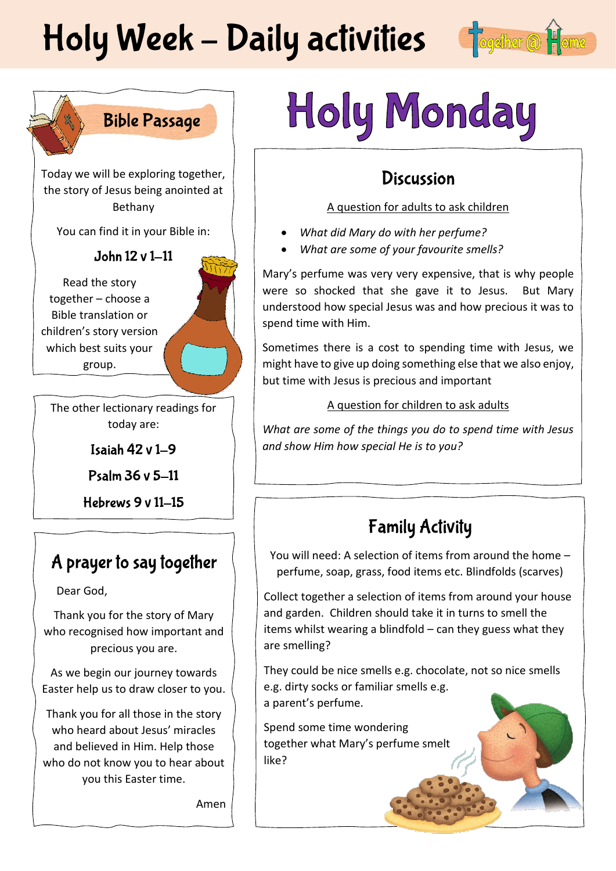# Holy Week - Daily activities of Sogether @





Today we will be exploring together, the story of Jesus being anointed at Bethany

You can find it in your Bible in:

### John 12 v 1-11

Read the story together – choose a Bible translation or children's story version which best suits your group.

The other lectionary readings for today are:

Isaiah  $42 \vee 1-9$ 

Psalm 36 v 5-11

Hebrews  $9v11-15$ 

### A prayer to say together

Dear God,

Thank you for the story of Mary who recognised how important and precious you are.

As we begin our journey towards Easter help us to draw closer to you.

Thank you for all those in the story who heard about Jesus' miracles and believed in Him. Help those who do not know you to hear about you this Easter time.

Amen

# Holy Monday

### **Discussion**

#### A question for adults to ask children

- *What did Mary do with her perfume?*
- *What are some of your favourite smells?*

Mary's perfume was very very expensive, that is why people were so shocked that she gave it to Jesus. But Mary understood how special Jesus was and how precious it was to spend time with Him.

Sometimes there is a cost to spending time with Jesus, we might have to give up doing something else that we also enjoy, but time with Jesus is precious and important

#### A question for children to ask adults

*What are some of the things you do to spend time with Jesus and show Him how special He is to you?*

## **Family Activity**

You will need: A selection of items from around the home – perfume, soap, grass, food items etc. Blindfolds (scarves)

Collect together a selection of items from around your house and garden. Children should take it in turns to smell the items whilst wearing a blindfold – can they guess what they are smelling?

They could be nice smells e.g. chocolate, not so nice smells e.g. dirty socks or familiar smells e.g. a parent's perfume.

Spend some time wondering together what Mary's perfume smelt like?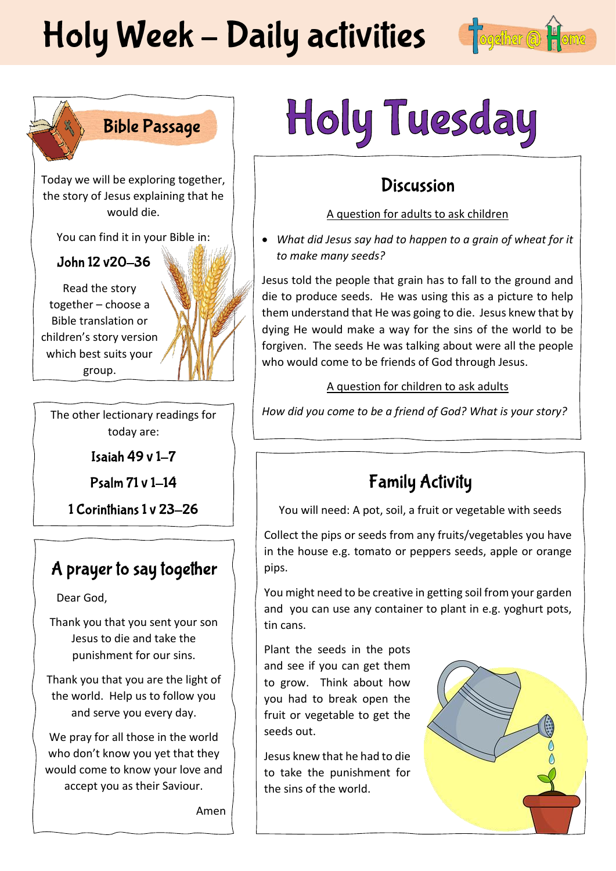# Holy Week - Daily activities fogether @





Today we will be exploring together, the story of Jesus explaining that he would die.

You can find it in your Bible in:

John 12 v20-36

Read the story together – choose a Bible translation or children's story version which best suits your group.

The other lectionary readings for today are:

Isaiah 49 v 1-7

Psalm 71 v 1-14

1 Corinthians 1 v 23-26

### A prayer to say together

Dear God,

Thank you that you sent your son Jesus to die and take the punishment for our sins.

Thank you that you are the light of the world. Help us to follow you and serve you every day.

We pray for all those in the world who don't know you yet that they would come to know your love and accept you as their Saviour.

Amen

# Holy Tuesday

### **Discussion**

A question for adults to ask children

• *What did Jesus say had to happen to a grain of wheat for it to make many seeds?*

Jesus told the people that grain has to fall to the ground and die to produce seeds. He was using this as a picture to help them understand that He was going to die. Jesus knew that by dying He would make a way for the sins of the world to be forgiven. The seeds He was talking about were all the people who would come to be friends of God through Jesus.

### A question for children to ask adults

*How did you come to be a friend of God? What is your story?*

## **Family Activity**

You will need: A pot, soil, a fruit or vegetable with seeds

Collect the pips or seeds from any fruits/vegetables you have in the house e.g. tomato or peppers seeds, apple or orange pips.

You might need to be creative in getting soil from your garden and you can use any container to plant in e.g. yoghurt pots, tin cans.

Plant the seeds in the pots and see if you can get them to grow. Think about how you had to break open the fruit or vegetable to get the seeds out.

Jesus knew that he had to die to take the punishment for the sins of the world.

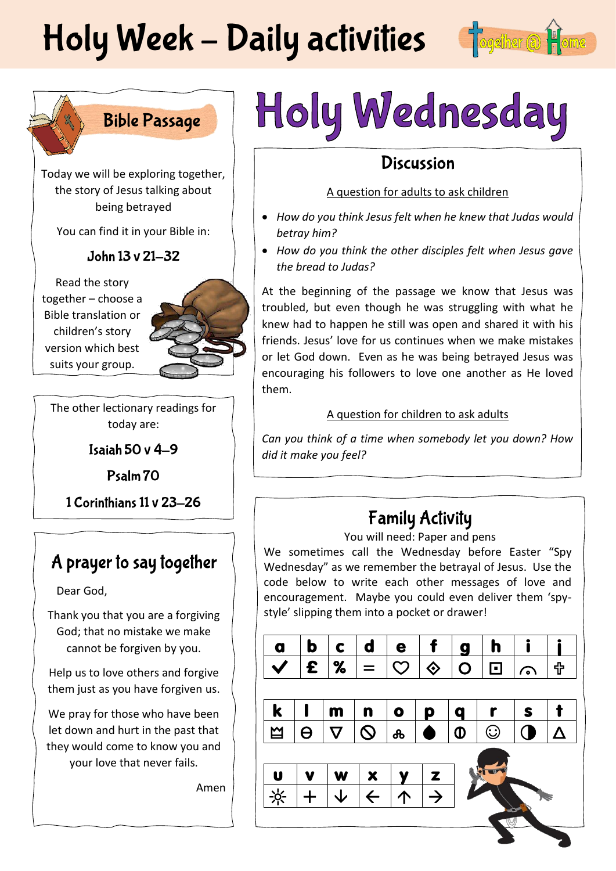# Holy Week - Daily activities Fogether @





Today we will be exploring together, the story of Jesus talking about being betrayed

You can find it in your Bible in:

John 13 v 21-32

Read the story together – choose a Bible translation or children's story version which best suits your group.

The other lectionary readings for today are:

Isaiah 50 v  $4-9$ 

Psalm 70

1 Corinthians 11 v 23-26

### A prayer to say together

Dear God,

Thank you that you are a forgiving God; that no mistake we make cannot be forgiven by you.

Help us to love others and forgive them just as you have forgiven us.

We pray for those who have been let down and hurt in the past that they would come to know you and your love that never fails.

Amen

# Holy Wednesday

### **Discussion**

### A question for adults to ask children

- *How do you think Jesus felt when he knew that Judas would betray him?*
- *How do you think the other disciples felt when Jesus gave the bread to Judas?*

At the beginning of the passage we know that Jesus was troubled, but even though he was struggling with what he knew had to happen he still was open and shared it with his friends. Jesus' love for us continues when we make mistakes or let God down. Even as he was being betrayed Jesus was encouraging his followers to love one another as He loved them.

### A question for children to ask adults

*Can you think of a time when somebody let you down? How did it make you feel?* 

# **Family Activity**

You will need: Paper and pens

We sometimes call the Wednesday before Easter "Spy Wednesday" as we remember the betrayal of Jesus. Use the code below to write each other messages of love and encouragement. Maybe you could even deliver them 'spystyle' slipping them into a pocket or drawer!

| a                        | b        | C                     | d                        | e             | f              | g              | h       |     |                       |
|--------------------------|----------|-----------------------|--------------------------|---------------|----------------|----------------|---------|-----|-----------------------|
|                          | £        | $\%$                  |                          | $\mathcal{O}$ | $\Diamond$     | $\overline{O}$ | 冋       | r., | ╬                     |
|                          |          |                       |                          |               |                |                |         |     |                       |
| $\bf k$                  |          | m                     | n                        | $\bullet$     | p              | q              |         | S   |                       |
| $\mathbf{\underline{M}}$ | $\Theta$ | $\boldsymbol{\nabla}$ | $\mathsf{\Omega}$        | ൿ             | $\bullet$      | $\Phi$         | $\odot$ |     | $\boldsymbol{\Delta}$ |
|                          |          |                       |                          |               |                |                |         |     |                       |
| U                        |          | W                     | $\underline{\mathbf{x}}$ |               | $\sqrt{z}$     |                |         |     |                       |
| $\frac{1}{2}$            |          |                       | $\overline{\leftarrow}$  | 个             | $\overline{1}$ |                |         |     |                       |
|                          |          |                       |                          |               |                |                |         |     |                       |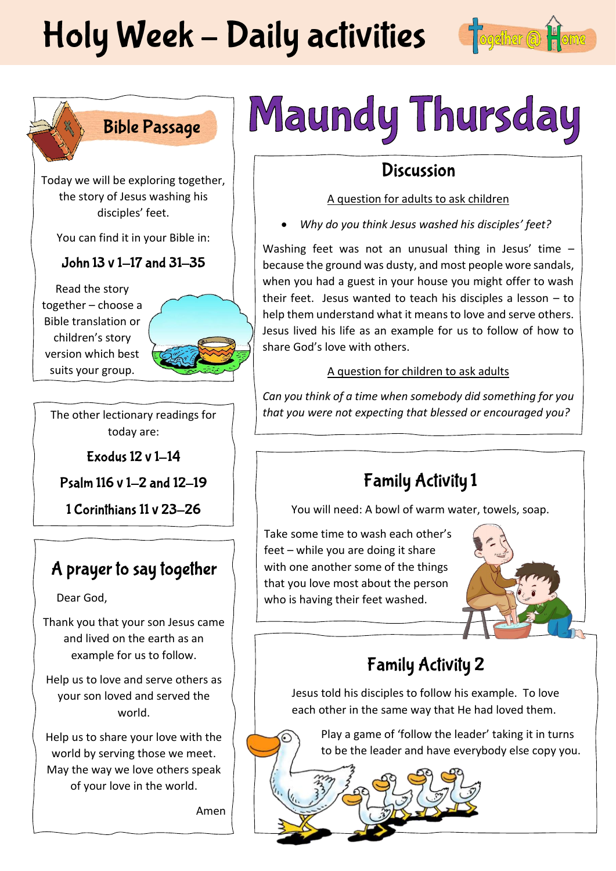# Holy Week - Daily activities fogether a file





Today we will be exploring together, the story of Jesus washing his disciples' feet.

You can find it in your Bible in:

### John 13 v 1-17 and 31-35

Read the story together – choose a Bible translation or children's story version which best suits your group.



The other lectionary readings for today are:

Exodus 12 v 1-14

Psalm 116 v 1-2 and 12-19

1 Corinthians 11 v 23-26

### A prayer to say together

Dear God,

Thank you that your son Jesus came and lived on the earth as an example for us to follow.

Help us to love and serve others as your son loved and served the world.

Help us to share your love with the world by serving those we meet. May the way we love others speak of your love in the world.

Amen

# Maundy Thursday

### **Discussion**

### A question for adults to ask children

• *Why do you think Jesus washed his disciples' feet?*

Washing feet was not an unusual thing in Jesus' time – because the ground was dusty, and most people wore sandals, when you had a guest in your house you might offer to wash their feet. Jesus wanted to teach his disciples a lesson – to help them understand what it means to love and serve others. Jesus lived his life as an example for us to follow of how to share God's love with others.

### A question for children to ask adults

*Can you think of a time when somebody did something for you that you were not expecting that blessed or encouraged you?*

## **Family Activity 1**

You will need: A bowl of warm water, towels, soap.

Take some time to wash each other's feet – while you are doing it share with one another some of the things that you love most about the person who is having their feet washed.



# **Family Activity 2**

Jesus told his disciples to follow his example. To love each other in the same way that He had loved them.

Play a game of 'follow the leader' taking it in turns to be the leader and have everybody else copy you.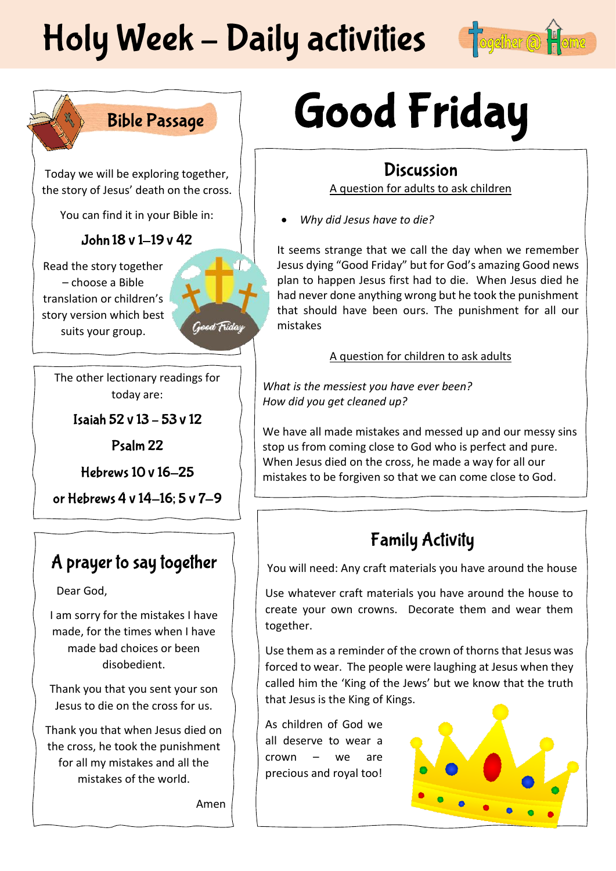# Holy Week - Daily activities

Good Friday



### **Bible Passage**

Today we will be exploring together, the story of Jesus' death on the cross.

You can find it in your Bible in:

### John 18 v 1-19 v 42

Read the story together – choose a Bible translation or children's story version which best suits your group.

The other lectionary readings for today are:

Isaiah 52 v 13 - 53 v 12

Psalm<sub>22</sub>

**Hebrews 10 v 16-25** 

or Hebrews 4 v 14-16; 5 v 7-9

### A prayer to say together

Dear God,

I am sorry for the mistakes I have made, for the times when I have made bad choices or been disobedient.

Thank you that you sent your son Jesus to die on the cross for us.

Thank you that when Jesus died on the cross, he took the punishment for all my mistakes and all the mistakes of the world.

Amen

# **Good Friday**

### **Discussion**

A question for adults to ask children

• *Why did Jesus have to die?*

It seems strange that we call the day when we remember Jesus dying "Good Friday" but for God's amazing Good news plan to happen Jesus first had to die. When Jesus died he had never done anything wrong but he took the punishment that should have been ours. The punishment for all our mistakes

#### A question for children to ask adults

*What is the messiest you have ever been? How did you get cleaned up?*

We have all made mistakes and messed up and our messy sins stop us from coming close to God who is perfect and pure. When Jesus died on the cross, he made a way for all our mistakes to be forgiven so that we can come close to God.

## **Family Activity**

You will need: Any craft materials you have around the house

Use whatever craft materials you have around the house to create your own crowns. Decorate them and wear them together.

Use them as a reminder of the crown of thorns that Jesus was forced to wear. The people were laughing at Jesus when they called him the 'King of the Jews' but we know that the truth that Jesus is the King of Kings.

As children of God we all deserve to wear a crown – we are precious and royal too!